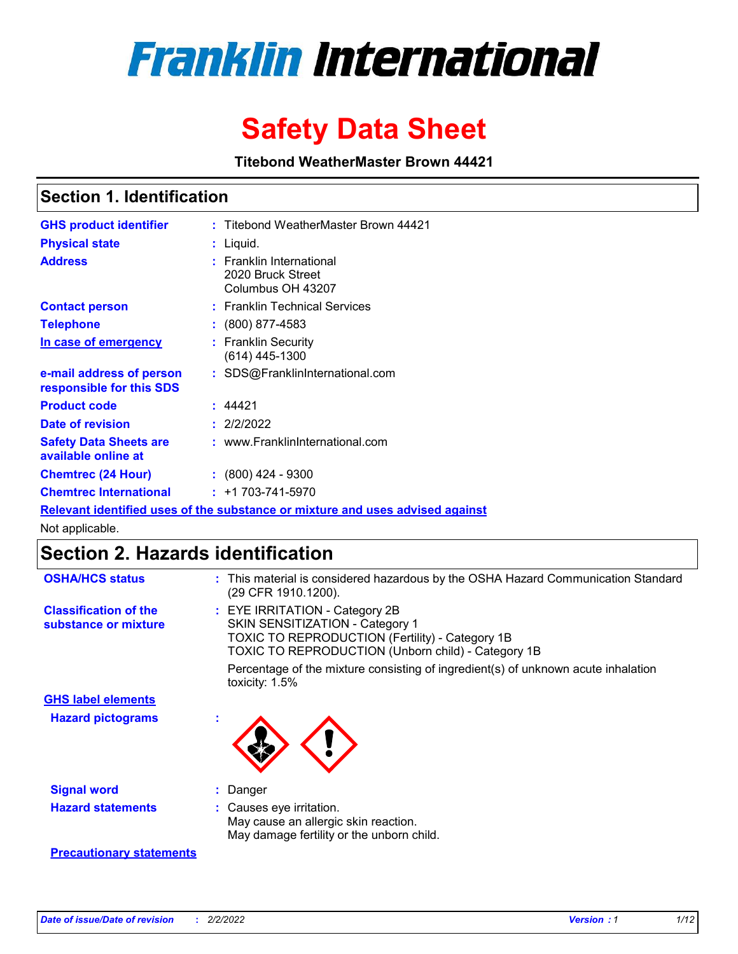

# **Safety Data Sheet**

**Titebond WeatherMaster Brown 44421**

### **Section 1. Identification**

| <b>GHS product identifier</b>                        | : Titebond WeatherMaster Brown 44421                                          |
|------------------------------------------------------|-------------------------------------------------------------------------------|
| <b>Physical state</b>                                | : Liquid.                                                                     |
| <b>Address</b>                                       | : Franklin International<br>2020 Bruck Street<br>Columbus OH 43207            |
| <b>Contact person</b>                                | : Franklin Technical Services                                                 |
| <b>Telephone</b>                                     | $\colon$ (800) 877-4583                                                       |
| In case of emergency                                 | : Franklin Security<br>(614) 445-1300                                         |
| e-mail address of person<br>responsible for this SDS | : SDS@FranklinInternational.com                                               |
| <b>Product code</b>                                  | : 44421                                                                       |
| Date of revision                                     | : 2/2/2022                                                                    |
| <b>Safety Data Sheets are</b><br>available online at | : www.FranklinInternational.com                                               |
| <b>Chemtrec (24 Hour)</b>                            | $: (800)$ 424 - 9300                                                          |
| <b>Chemtrec International</b>                        | $: +1703 - 741 - 5970$                                                        |
|                                                      | Relevant identified uses of the substance or mixture and uses advised against |

Not applicable.

## **Section 2. Hazards identification**

| <b>OSHA/HCS status</b>                               | : This material is considered hazardous by the OSHA Hazard Communication Standard<br>(29 CFR 1910.1200).                                                                                 |
|------------------------------------------------------|------------------------------------------------------------------------------------------------------------------------------------------------------------------------------------------|
| <b>Classification of the</b><br>substance or mixture | : EYE IRRITATION - Category 2B<br>SKIN SENSITIZATION - Category 1<br><b>TOXIC TO REPRODUCTION (Fertility) - Category 1B</b><br><b>TOXIC TO REPRODUCTION (Unborn child) - Category 1B</b> |
|                                                      | Percentage of the mixture consisting of ingredient(s) of unknown acute inhalation<br>toxicity: $1.5\%$                                                                                   |
| <b>GHS label elements</b>                            |                                                                                                                                                                                          |
| <b>Hazard pictograms</b>                             |                                                                                                                                                                                          |
| <b>Signal word</b>                                   | : Danger                                                                                                                                                                                 |
| <b>Hazard statements</b>                             | : Causes eye irritation.<br>May cause an allergic skin reaction.<br>May damage fertility or the unborn child.                                                                            |
| <b>Precautionary statements</b>                      |                                                                                                                                                                                          |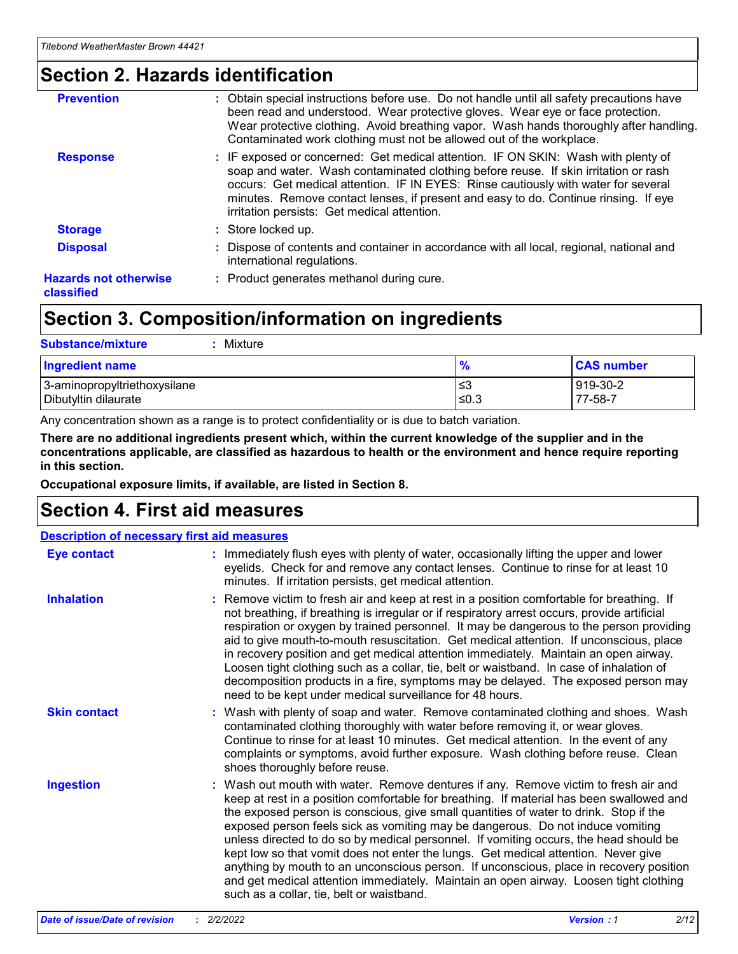### **Section 2. Hazards identification**

| : Obtain special instructions before use. Do not handle until all safety precautions have<br>been read and understood. Wear protective gloves. Wear eye or face protection.<br>Wear protective clothing. Avoid breathing vapor. Wash hands thoroughly after handling.<br>Contaminated work clothing must not be allowed out of the workplace.                                                        |
|------------------------------------------------------------------------------------------------------------------------------------------------------------------------------------------------------------------------------------------------------------------------------------------------------------------------------------------------------------------------------------------------------|
| : IF exposed or concerned: Get medical attention. IF ON SKIN: Wash with plenty of<br>soap and water. Wash contaminated clothing before reuse. If skin irritation or rash<br>occurs: Get medical attention. IF IN EYES: Rinse cautiously with water for several<br>minutes. Remove contact lenses, if present and easy to do. Continue rinsing. If eye<br>irritation persists: Get medical attention. |
| : Store locked up.                                                                                                                                                                                                                                                                                                                                                                                   |
| : Dispose of contents and container in accordance with all local, regional, national and<br>international regulations.                                                                                                                                                                                                                                                                               |
| : Product generates methanol during cure.                                                                                                                                                                                                                                                                                                                                                            |
|                                                                                                                                                                                                                                                                                                                                                                                                      |

### **Section 3. Composition/information on ingredients**

| <b>Substance/mixture</b><br>Mixture                  |               |                     |
|------------------------------------------------------|---------------|---------------------|
| <b>Ingredient name</b>                               | $\frac{9}{6}$ | <b>CAS number</b>   |
| 3-aminopropyltriethoxysilane<br>Dibutyltin dilaurate | l≤3<br>≤0.3   | 919-30-2<br>77-58-7 |

Any concentration shown as a range is to protect confidentiality or is due to batch variation.

**There are no additional ingredients present which, within the current knowledge of the supplier and in the concentrations applicable, are classified as hazardous to health or the environment and hence require reporting in this section.**

**Occupational exposure limits, if available, are listed in Section 8.**

### **Section 4. First aid measures**

| <b>Description of necessary first aid measures</b> |                                                                                                                                                                                                                                                                                                                                                                                                                                                                                                                                                                                                                                                                                                                                                                           |  |  |  |
|----------------------------------------------------|---------------------------------------------------------------------------------------------------------------------------------------------------------------------------------------------------------------------------------------------------------------------------------------------------------------------------------------------------------------------------------------------------------------------------------------------------------------------------------------------------------------------------------------------------------------------------------------------------------------------------------------------------------------------------------------------------------------------------------------------------------------------------|--|--|--|
| <b>Eye contact</b>                                 | : Immediately flush eyes with plenty of water, occasionally lifting the upper and lower<br>eyelids. Check for and remove any contact lenses. Continue to rinse for at least 10<br>minutes. If irritation persists, get medical attention.                                                                                                                                                                                                                                                                                                                                                                                                                                                                                                                                 |  |  |  |
| <b>Inhalation</b>                                  | : Remove victim to fresh air and keep at rest in a position comfortable for breathing. If<br>not breathing, if breathing is irregular or if respiratory arrest occurs, provide artificial<br>respiration or oxygen by trained personnel. It may be dangerous to the person providing<br>aid to give mouth-to-mouth resuscitation. Get medical attention. If unconscious, place<br>in recovery position and get medical attention immediately. Maintain an open airway.<br>Loosen tight clothing such as a collar, tie, belt or waistband. In case of inhalation of<br>decomposition products in a fire, symptoms may be delayed. The exposed person may<br>need to be kept under medical surveillance for 48 hours.                                                       |  |  |  |
| <b>Skin contact</b>                                | : Wash with plenty of soap and water. Remove contaminated clothing and shoes. Wash<br>contaminated clothing thoroughly with water before removing it, or wear gloves.<br>Continue to rinse for at least 10 minutes. Get medical attention. In the event of any<br>complaints or symptoms, avoid further exposure. Wash clothing before reuse. Clean<br>shoes thoroughly before reuse.                                                                                                                                                                                                                                                                                                                                                                                     |  |  |  |
| <b>Ingestion</b>                                   | : Wash out mouth with water. Remove dentures if any. Remove victim to fresh air and<br>keep at rest in a position comfortable for breathing. If material has been swallowed and<br>the exposed person is conscious, give small quantities of water to drink. Stop if the<br>exposed person feels sick as vomiting may be dangerous. Do not induce vomiting<br>unless directed to do so by medical personnel. If vomiting occurs, the head should be<br>kept low so that vomit does not enter the lungs. Get medical attention. Never give<br>anything by mouth to an unconscious person. If unconscious, place in recovery position<br>and get medical attention immediately. Maintain an open airway. Loosen tight clothing<br>such as a collar, tie, belt or waistband. |  |  |  |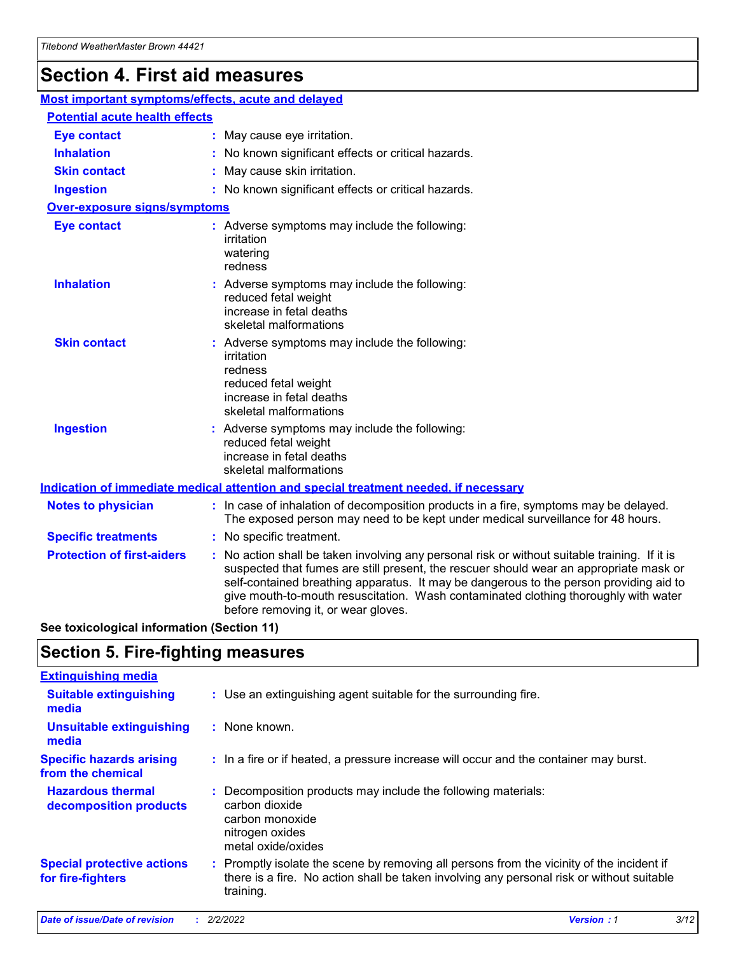## **Section 4. First aid measures**

| Most important symptoms/effects, acute and delayed |  |                                                                                                                                                                                                                                                                                                                                                                                                                 |  |  |
|----------------------------------------------------|--|-----------------------------------------------------------------------------------------------------------------------------------------------------------------------------------------------------------------------------------------------------------------------------------------------------------------------------------------------------------------------------------------------------------------|--|--|
| <b>Potential acute health effects</b>              |  |                                                                                                                                                                                                                                                                                                                                                                                                                 |  |  |
| <b>Eye contact</b>                                 |  | : May cause eye irritation.                                                                                                                                                                                                                                                                                                                                                                                     |  |  |
| <b>Inhalation</b>                                  |  | : No known significant effects or critical hazards.                                                                                                                                                                                                                                                                                                                                                             |  |  |
| <b>Skin contact</b>                                |  | : May cause skin irritation.                                                                                                                                                                                                                                                                                                                                                                                    |  |  |
| <b>Ingestion</b>                                   |  | : No known significant effects or critical hazards.                                                                                                                                                                                                                                                                                                                                                             |  |  |
| Over-exposure signs/symptoms                       |  |                                                                                                                                                                                                                                                                                                                                                                                                                 |  |  |
| <b>Eye contact</b>                                 |  | : Adverse symptoms may include the following:<br>irritation<br>watering<br>redness                                                                                                                                                                                                                                                                                                                              |  |  |
| <b>Inhalation</b>                                  |  | : Adverse symptoms may include the following:<br>reduced fetal weight<br>increase in fetal deaths<br>skeletal malformations                                                                                                                                                                                                                                                                                     |  |  |
| <b>Skin contact</b>                                |  | : Adverse symptoms may include the following:<br>irritation<br>redness<br>reduced fetal weight<br>increase in fetal deaths<br>skeletal malformations                                                                                                                                                                                                                                                            |  |  |
| <b>Ingestion</b>                                   |  | : Adverse symptoms may include the following:<br>reduced fetal weight<br>increase in fetal deaths<br>skeletal malformations                                                                                                                                                                                                                                                                                     |  |  |
|                                                    |  | <b>Indication of immediate medical attention and special treatment needed, if necessary</b>                                                                                                                                                                                                                                                                                                                     |  |  |
| <b>Notes to physician</b>                          |  | : In case of inhalation of decomposition products in a fire, symptoms may be delayed.<br>The exposed person may need to be kept under medical surveillance for 48 hours.                                                                                                                                                                                                                                        |  |  |
| <b>Specific treatments</b>                         |  | : No specific treatment.                                                                                                                                                                                                                                                                                                                                                                                        |  |  |
| <b>Protection of first-aiders</b>                  |  | : No action shall be taken involving any personal risk or without suitable training. If it is<br>suspected that fumes are still present, the rescuer should wear an appropriate mask or<br>self-contained breathing apparatus. It may be dangerous to the person providing aid to<br>give mouth-to-mouth resuscitation. Wash contaminated clothing thoroughly with water<br>before removing it, or wear gloves. |  |  |

**See toxicological information (Section 11)**

### **Section 5. Fire-fighting measures**

| <b>Extinguishing media</b>                             |                                                                                                                                                                                                     |
|--------------------------------------------------------|-----------------------------------------------------------------------------------------------------------------------------------------------------------------------------------------------------|
| <b>Suitable extinguishing</b><br>media                 | : Use an extinguishing agent suitable for the surrounding fire.                                                                                                                                     |
| <b>Unsuitable extinguishing</b><br>media               | : None known.                                                                                                                                                                                       |
| <b>Specific hazards arising</b><br>from the chemical   | : In a fire or if heated, a pressure increase will occur and the container may burst.                                                                                                               |
| <b>Hazardous thermal</b><br>decomposition products     | : Decomposition products may include the following materials:<br>carbon dioxide<br>carbon monoxide<br>nitrogen oxides<br>metal oxide/oxides                                                         |
| <b>Special protective actions</b><br>for fire-fighters | : Promptly isolate the scene by removing all persons from the vicinity of the incident if<br>there is a fire. No action shall be taken involving any personal risk or without suitable<br>training. |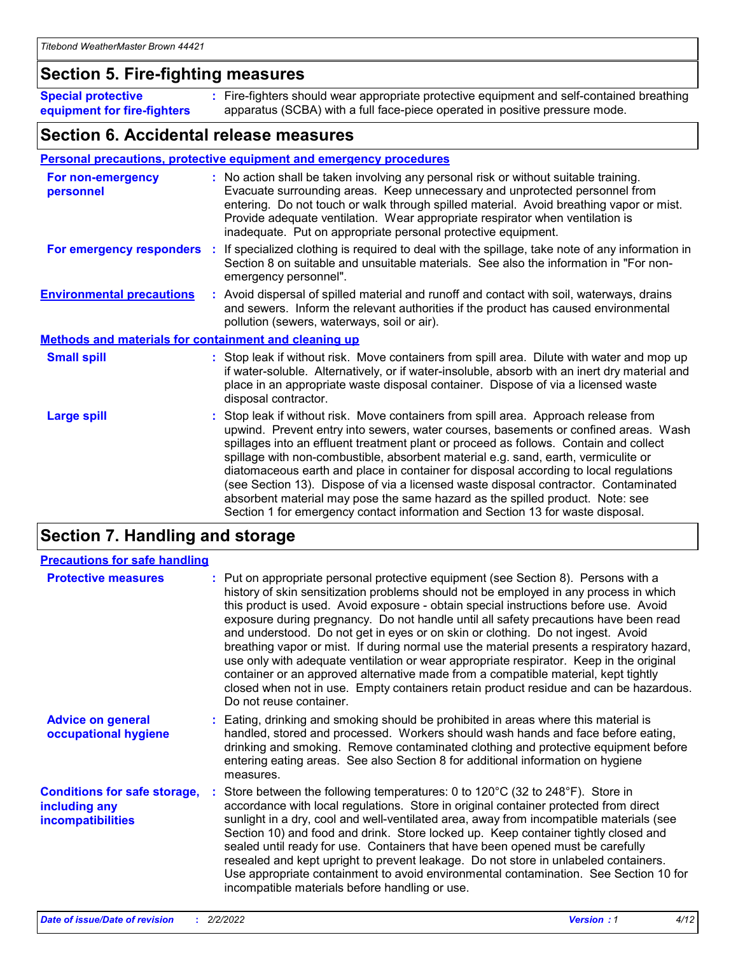### **Section 5. Fire-fighting measures**

**Special protective equipment for fire-fighters** Fire-fighters should wear appropriate protective equipment and self-contained breathing **:** apparatus (SCBA) with a full face-piece operated in positive pressure mode.

### **Section 6. Accidental release measures**

#### **Personal precautions, protective equipment and emergency procedures**

| For non-emergency<br>personnel                               |  | : No action shall be taken involving any personal risk or without suitable training.<br>Evacuate surrounding areas. Keep unnecessary and unprotected personnel from<br>entering. Do not touch or walk through spilled material. Avoid breathing vapor or mist.<br>Provide adequate ventilation. Wear appropriate respirator when ventilation is<br>inadequate. Put on appropriate personal protective equipment.                                                                                                                                                                                                                                                                                             |  |  |
|--------------------------------------------------------------|--|--------------------------------------------------------------------------------------------------------------------------------------------------------------------------------------------------------------------------------------------------------------------------------------------------------------------------------------------------------------------------------------------------------------------------------------------------------------------------------------------------------------------------------------------------------------------------------------------------------------------------------------------------------------------------------------------------------------|--|--|
|                                                              |  | For emergency responders : If specialized clothing is required to deal with the spillage, take note of any information in<br>Section 8 on suitable and unsuitable materials. See also the information in "For non-<br>emergency personnel".                                                                                                                                                                                                                                                                                                                                                                                                                                                                  |  |  |
| <b>Environmental precautions</b>                             |  | : Avoid dispersal of spilled material and runoff and contact with soil, waterways, drains<br>and sewers. Inform the relevant authorities if the product has caused environmental<br>pollution (sewers, waterways, soil or air).                                                                                                                                                                                                                                                                                                                                                                                                                                                                              |  |  |
| <b>Methods and materials for containment and cleaning up</b> |  |                                                                                                                                                                                                                                                                                                                                                                                                                                                                                                                                                                                                                                                                                                              |  |  |
| <b>Small spill</b>                                           |  | : Stop leak if without risk. Move containers from spill area. Dilute with water and mop up<br>if water-soluble. Alternatively, or if water-insoluble, absorb with an inert dry material and<br>place in an appropriate waste disposal container. Dispose of via a licensed waste<br>disposal contractor.                                                                                                                                                                                                                                                                                                                                                                                                     |  |  |
| <b>Large spill</b>                                           |  | : Stop leak if without risk. Move containers from spill area. Approach release from<br>upwind. Prevent entry into sewers, water courses, basements or confined areas. Wash<br>spillages into an effluent treatment plant or proceed as follows. Contain and collect<br>spillage with non-combustible, absorbent material e.g. sand, earth, vermiculite or<br>diatomaceous earth and place in container for disposal according to local regulations<br>(see Section 13). Dispose of via a licensed waste disposal contractor. Contaminated<br>absorbent material may pose the same hazard as the spilled product. Note: see<br>Section 1 for emergency contact information and Section 13 for waste disposal. |  |  |

### **Section 7. Handling and storage**

| <b>Precautions for safe handling</b>                                             |                                                                                                                                                                                                                                                                                                                                                                                                                                                                                                                                                                                                                                                                                                                                                                                                                                                  |
|----------------------------------------------------------------------------------|--------------------------------------------------------------------------------------------------------------------------------------------------------------------------------------------------------------------------------------------------------------------------------------------------------------------------------------------------------------------------------------------------------------------------------------------------------------------------------------------------------------------------------------------------------------------------------------------------------------------------------------------------------------------------------------------------------------------------------------------------------------------------------------------------------------------------------------------------|
| <b>Protective measures</b>                                                       | : Put on appropriate personal protective equipment (see Section 8). Persons with a<br>history of skin sensitization problems should not be employed in any process in which<br>this product is used. Avoid exposure - obtain special instructions before use. Avoid<br>exposure during pregnancy. Do not handle until all safety precautions have been read<br>and understood. Do not get in eyes or on skin or clothing. Do not ingest. Avoid<br>breathing vapor or mist. If during normal use the material presents a respiratory hazard,<br>use only with adequate ventilation or wear appropriate respirator. Keep in the original<br>container or an approved alternative made from a compatible material, kept tightly<br>closed when not in use. Empty containers retain product residue and can be hazardous.<br>Do not reuse container. |
| <b>Advice on general</b><br>occupational hygiene                                 | : Eating, drinking and smoking should be prohibited in areas where this material is<br>handled, stored and processed. Workers should wash hands and face before eating,<br>drinking and smoking. Remove contaminated clothing and protective equipment before<br>entering eating areas. See also Section 8 for additional information on hygiene<br>measures.                                                                                                                                                                                                                                                                                                                                                                                                                                                                                    |
| <b>Conditions for safe storage,</b><br>including any<br><b>incompatibilities</b> | Store between the following temperatures: 0 to 120 $\degree$ C (32 to 248 $\degree$ F). Store in<br>accordance with local regulations. Store in original container protected from direct<br>sunlight in a dry, cool and well-ventilated area, away from incompatible materials (see<br>Section 10) and food and drink. Store locked up. Keep container tightly closed and<br>sealed until ready for use. Containers that have been opened must be carefully<br>resealed and kept upright to prevent leakage. Do not store in unlabeled containers.<br>Use appropriate containment to avoid environmental contamination. See Section 10 for<br>incompatible materials before handling or use.                                                                                                                                                     |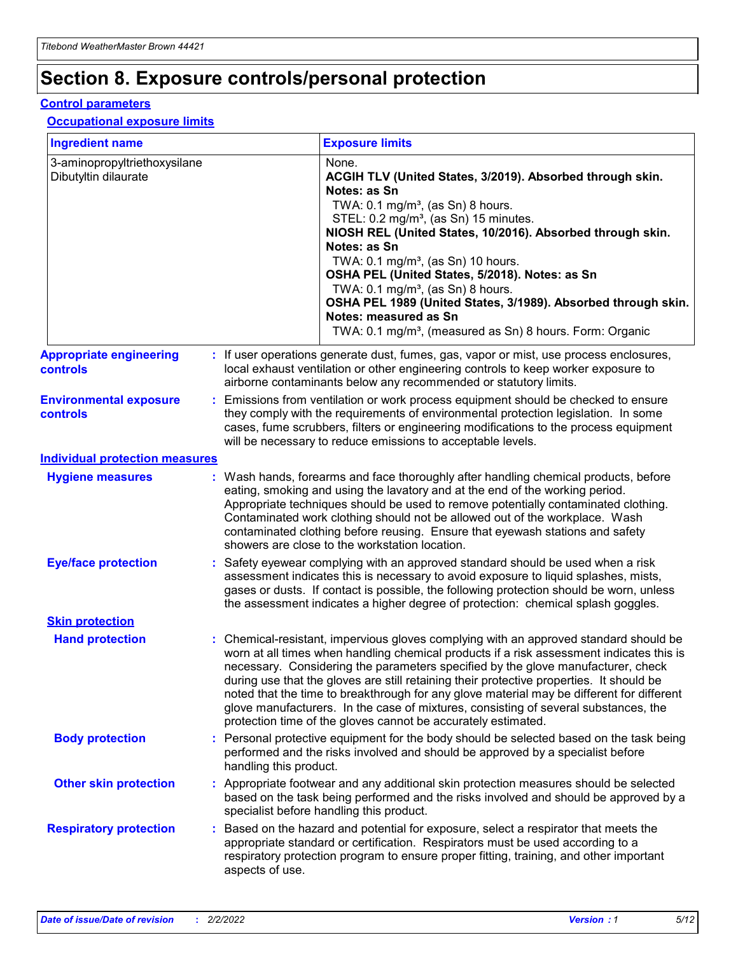## **Section 8. Exposure controls/personal protection**

#### **Control parameters**

#### **Occupational exposure limits**

| <b>Ingredient name</b>                               |    |                        | <b>Exposure limits</b>                                                                                                                                                                                                                                                                                                                                                                                                                                                                                                                                                                                                 |
|------------------------------------------------------|----|------------------------|------------------------------------------------------------------------------------------------------------------------------------------------------------------------------------------------------------------------------------------------------------------------------------------------------------------------------------------------------------------------------------------------------------------------------------------------------------------------------------------------------------------------------------------------------------------------------------------------------------------------|
| 3-aminopropyltriethoxysilane<br>Dibutyltin dilaurate |    |                        | None.<br>ACGIH TLV (United States, 3/2019). Absorbed through skin.<br>Notes: as Sn<br>TWA: $0.1 \text{ mg/m}^3$ , (as Sn) 8 hours.<br>STEL: 0.2 mg/m <sup>3</sup> , (as Sn) 15 minutes.<br>NIOSH REL (United States, 10/2016). Absorbed through skin.<br>Notes: as Sn<br>TWA: 0.1 mg/m <sup>3</sup> , (as Sn) 10 hours.<br>OSHA PEL (United States, 5/2018). Notes: as Sn<br>TWA: $0.1 \text{ mg/m}^3$ , (as Sn) 8 hours.<br>OSHA PEL 1989 (United States, 3/1989). Absorbed through skin.<br>Notes: measured as Sn<br>TWA: 0.1 mg/m <sup>3</sup> , (measured as Sn) 8 hours. Form: Organic                            |
| <b>Appropriate engineering</b><br>controls           |    |                        | : If user operations generate dust, fumes, gas, vapor or mist, use process enclosures,<br>local exhaust ventilation or other engineering controls to keep worker exposure to<br>airborne contaminants below any recommended or statutory limits.                                                                                                                                                                                                                                                                                                                                                                       |
| <b>Environmental exposure</b><br>controls            |    |                        | Emissions from ventilation or work process equipment should be checked to ensure<br>they comply with the requirements of environmental protection legislation. In some<br>cases, fume scrubbers, filters or engineering modifications to the process equipment<br>will be necessary to reduce emissions to acceptable levels.                                                                                                                                                                                                                                                                                          |
| <b>Individual protection measures</b>                |    |                        |                                                                                                                                                                                                                                                                                                                                                                                                                                                                                                                                                                                                                        |
| <b>Hygiene measures</b>                              |    |                        | : Wash hands, forearms and face thoroughly after handling chemical products, before<br>eating, smoking and using the lavatory and at the end of the working period.<br>Appropriate techniques should be used to remove potentially contaminated clothing.<br>Contaminated work clothing should not be allowed out of the workplace. Wash<br>contaminated clothing before reusing. Ensure that eyewash stations and safety<br>showers are close to the workstation location.                                                                                                                                            |
| <b>Eye/face protection</b>                           |    |                        | : Safety eyewear complying with an approved standard should be used when a risk<br>assessment indicates this is necessary to avoid exposure to liquid splashes, mists,<br>gases or dusts. If contact is possible, the following protection should be worn, unless<br>the assessment indicates a higher degree of protection: chemical splash goggles.                                                                                                                                                                                                                                                                  |
| <b>Skin protection</b>                               |    |                        |                                                                                                                                                                                                                                                                                                                                                                                                                                                                                                                                                                                                                        |
| <b>Hand protection</b>                               |    |                        | : Chemical-resistant, impervious gloves complying with an approved standard should be<br>worn at all times when handling chemical products if a risk assessment indicates this is<br>necessary. Considering the parameters specified by the glove manufacturer, check<br>during use that the gloves are still retaining their protective properties. It should be<br>noted that the time to breakthrough for any glove material may be different for different<br>glove manufacturers. In the case of mixtures, consisting of several substances, the<br>protection time of the gloves cannot be accurately estimated. |
| <b>Body protection</b>                               |    | handling this product. | Personal protective equipment for the body should be selected based on the task being<br>performed and the risks involved and should be approved by a specialist before                                                                                                                                                                                                                                                                                                                                                                                                                                                |
| <b>Other skin protection</b>                         |    |                        | : Appropriate footwear and any additional skin protection measures should be selected<br>based on the task being performed and the risks involved and should be approved by a<br>specialist before handling this product.                                                                                                                                                                                                                                                                                                                                                                                              |
| <b>Respiratory protection</b>                        | ÷. | aspects of use.        | Based on the hazard and potential for exposure, select a respirator that meets the<br>appropriate standard or certification. Respirators must be used according to a<br>respiratory protection program to ensure proper fitting, training, and other important                                                                                                                                                                                                                                                                                                                                                         |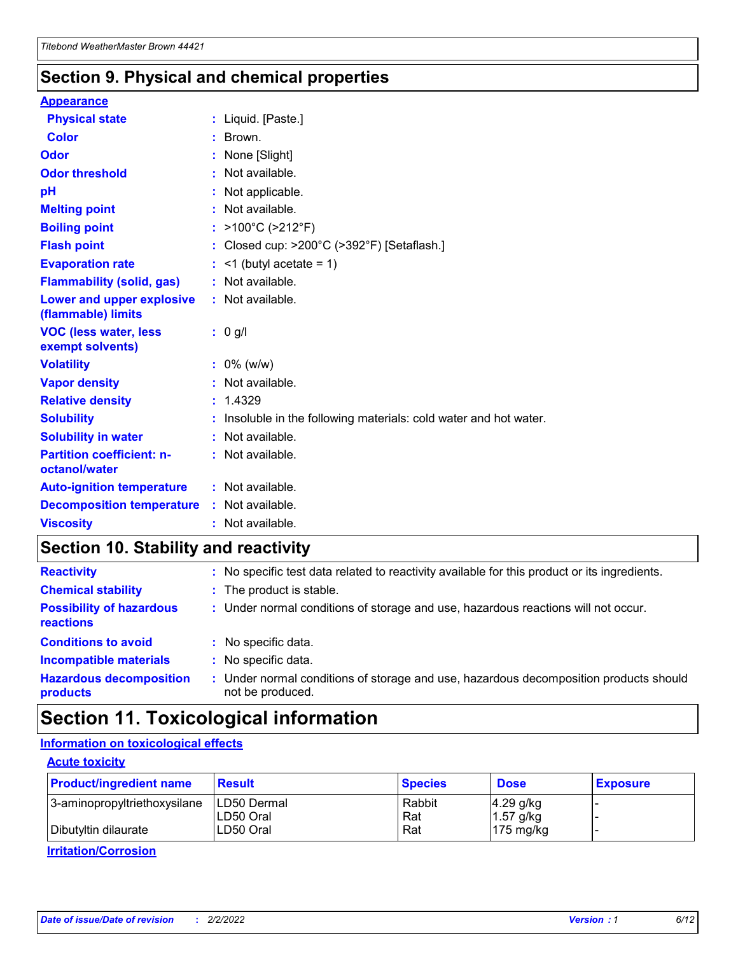### **Section 9. Physical and chemical properties**

#### **Appearance**

| <b>Physical state</b>                             | : Liquid. [Paste.]                                              |
|---------------------------------------------------|-----------------------------------------------------------------|
| <b>Color</b>                                      | : Brown.                                                        |
| Odor                                              | None [Slight]                                                   |
| <b>Odor threshold</b>                             | $:$ Not available.                                              |
| рH                                                | : Not applicable.                                               |
| <b>Melting point</b>                              | : Not available.                                                |
| <b>Boiling point</b>                              | : >100°C (>212°F)                                               |
| <b>Flash point</b>                                | : Closed cup: >200°C (>392°F) [Setaflash.]                      |
| <b>Evaporation rate</b>                           | $:$ <1 (butyl acetate = 1)                                      |
| <b>Flammability (solid, gas)</b>                  | : Not available.                                                |
| Lower and upper explosive<br>(flammable) limits   | : Not available.                                                |
| <b>VOC (less water, less</b>                      | $: 0$ g/l                                                       |
| exempt solvents)                                  |                                                                 |
| <b>Volatility</b>                                 | $: 0\%$ (w/w)                                                   |
| <b>Vapor density</b>                              | : Not available.                                                |
| <b>Relative density</b>                           | : 1.4329                                                        |
| <b>Solubility</b>                                 | Insoluble in the following materials: cold water and hot water. |
| <b>Solubility in water</b>                        | : Not available.                                                |
| <b>Partition coefficient: n-</b><br>octanol/water | $:$ Not available.                                              |
| <b>Auto-ignition temperature</b>                  | : Not available.                                                |
| <b>Decomposition temperature</b>                  | : Not available.                                                |

### **Section 10. Stability and reactivity**

| <b>Reactivity</b>                            | : No specific test data related to reactivity available for this product or its ingredients.            |
|----------------------------------------------|---------------------------------------------------------------------------------------------------------|
| <b>Chemical stability</b>                    | : The product is stable.                                                                                |
| <b>Possibility of hazardous</b><br>reactions | : Under normal conditions of storage and use, hazardous reactions will not occur.                       |
| <b>Conditions to avoid</b>                   | : No specific data.                                                                                     |
| <b>Incompatible materials</b>                | : No specific data.                                                                                     |
| <b>Hazardous decomposition</b><br>products   | Under normal conditions of storage and use, hazardous decomposition products should<br>not be produced. |

### **Section 11. Toxicological information**

### **Information on toxicological effects**

#### **Acute toxicity**

| <b>Product/ingredient name</b> | <b>Result</b>           | <b>Species</b> | <b>Dose</b>                | <b>Exposure</b> |
|--------------------------------|-------------------------|----------------|----------------------------|-----------------|
| 3-aminopropyltriethoxysilane   | <b>ILD50 Dermal</b>     | Rabbit         | 4.29 g/kg                  |                 |
| Dibutyltin dilaurate           | ILD50 Oral<br>LD50 Oral | Rat<br>Rat     | $1.57$ g/kg<br>175 $mg/kg$ |                 |
|                                |                         |                |                            |                 |

**Irritation/Corrosion**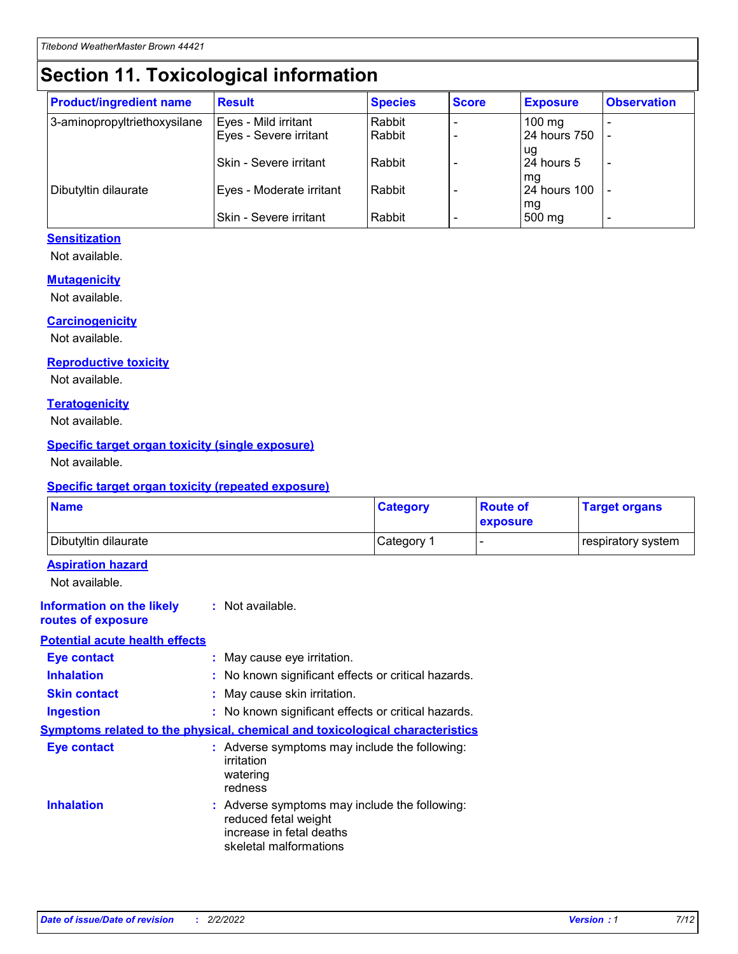## **Section 11. Toxicological information**

| <b>Product/ingredient name</b> | <b>Result</b>            | <b>Species</b> | <b>Score</b> | <b>Exposure</b>           | <b>Observation</b> |
|--------------------------------|--------------------------|----------------|--------------|---------------------------|--------------------|
| 3-aminopropyltriethoxysilane   | Eyes - Mild irritant     | Rabbit         |              | $100$ mg                  |                    |
|                                | Eyes - Severe irritant   | Rabbit         |              | 24 hours 750              |                    |
|                                |                          |                |              | ug                        |                    |
|                                | Skin - Severe irritant   | Rabbit         |              | 24 hours 5                | -                  |
| Dibutyltin dilaurate           | Eyes - Moderate irritant | Rabbit         |              | mq<br><b>24 hours 100</b> |                    |
|                                |                          |                |              | mg                        |                    |
|                                | Skin - Severe irritant   | Rabbit         |              | 500 mg                    |                    |

#### **Sensitization**

Not available.

#### **Mutagenicity**

Not available.

#### **Carcinogenicity**

Not available.

#### **Reproductive toxicity**

Not available.

#### **Teratogenicity**

Not available.

#### **Specific target organ toxicity (single exposure)**

Not available.

#### **Specific target organ toxicity (repeated exposure)**

| <b>Name</b>                                                                         |                                                                            | <b>Category</b>                                     | <b>Route of</b><br>exposure | <b>Target organs</b> |
|-------------------------------------------------------------------------------------|----------------------------------------------------------------------------|-----------------------------------------------------|-----------------------------|----------------------|
| Dibutyltin dilaurate                                                                |                                                                            | Category 1                                          | -                           | respiratory system   |
| <b>Aspiration hazard</b><br>Not available.                                          |                                                                            |                                                     |                             |                      |
| <b>Information on the likely</b><br>routes of exposure                              | : Not available.                                                           |                                                     |                             |                      |
| <b>Potential acute health effects</b>                                               |                                                                            |                                                     |                             |                      |
| <b>Eye contact</b>                                                                  | : May cause eye irritation.                                                |                                                     |                             |                      |
| <b>Inhalation</b>                                                                   |                                                                            | : No known significant effects or critical hazards. |                             |                      |
| <b>Skin contact</b>                                                                 | : May cause skin irritation.                                               |                                                     |                             |                      |
| <b>Ingestion</b>                                                                    |                                                                            | : No known significant effects or critical hazards. |                             |                      |
| <b>Symptoms related to the physical, chemical and toxicological characteristics</b> |                                                                            |                                                     |                             |                      |
| <b>Eye contact</b>                                                                  | irritation<br>watering<br>redness                                          | : Adverse symptoms may include the following:       |                             |                      |
| <b>Inhalation</b>                                                                   | reduced fetal weight<br>increase in fetal deaths<br>skeletal malformations | : Adverse symptoms may include the following:       |                             |                      |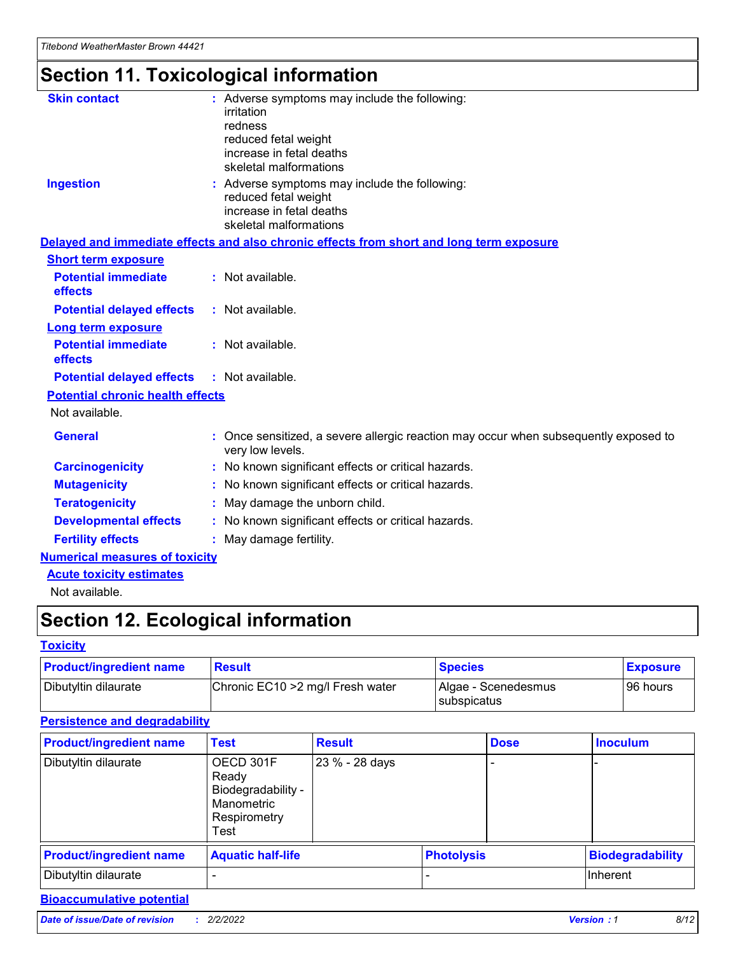# **Section 11. Toxicological information**

| <b>Skin contact</b>                     | : Adverse symptoms may include the following:<br>irritation<br>redness<br>reduced fetal weight<br>increase in fetal deaths<br>skeletal malformations |
|-----------------------------------------|------------------------------------------------------------------------------------------------------------------------------------------------------|
| <b>Ingestion</b>                        | : Adverse symptoms may include the following:<br>reduced fetal weight<br>increase in fetal deaths<br>skeletal malformations                          |
|                                         | Delayed and immediate effects and also chronic effects from short and long term exposure                                                             |
| <b>Short term exposure</b>              |                                                                                                                                                      |
| <b>Potential immediate</b><br>effects   | : Not available.                                                                                                                                     |
| <b>Potential delayed effects</b>        | : Not available.                                                                                                                                     |
| <b>Long term exposure</b>               |                                                                                                                                                      |
| <b>Potential immediate</b><br>effects   | : Not available.                                                                                                                                     |
| <b>Potential delayed effects</b>        | : Not available.                                                                                                                                     |
| <b>Potential chronic health effects</b> |                                                                                                                                                      |
| Not available.                          |                                                                                                                                                      |
| <b>General</b>                          | : Once sensitized, a severe allergic reaction may occur when subsequently exposed to<br>very low levels.                                             |
| <b>Carcinogenicity</b>                  | : No known significant effects or critical hazards.                                                                                                  |
| <b>Mutagenicity</b>                     | No known significant effects or critical hazards.                                                                                                    |
| <b>Teratogenicity</b>                   | May damage the unborn child.                                                                                                                         |
| <b>Developmental effects</b>            | No known significant effects or critical hazards.                                                                                                    |
| <b>Fertility effects</b>                | : May damage fertility.                                                                                                                              |
| <b>Numerical measures of toxicity</b>   |                                                                                                                                                      |
| <b>Acute toxicity estimates</b>         |                                                                                                                                                      |
|                                         |                                                                                                                                                      |

Not available.

## **Section 12. Ecological information**

#### **Toxicity**

| <b>Product/ingredient name</b> | <b>Result</b>                     | <b>Species</b>                       | <b>Exposure</b> |
|--------------------------------|-----------------------------------|--------------------------------------|-----------------|
| Dibutyltin dilaurate           | Chronic EC10 > 2 mg/l Fresh water | Algae - Scenedesmus<br>I subspicatus | l 96 hours      |

#### **Persistence and degradability**

| <b>Product/ingredient name</b> | Test                                                                           | <b>Result</b>  |                   | <b>Dose</b> | <b>Inoculum</b>         |
|--------------------------------|--------------------------------------------------------------------------------|----------------|-------------------|-------------|-------------------------|
| Dibutyltin dilaurate           | OECD 301F<br>Ready<br>Biodegradability -<br>Manometric<br>Respirometry<br>Test | 23 % - 28 days |                   |             |                         |
| <b>Product/ingredient name</b> | <b>Aquatic half-life</b>                                                       |                | <b>Photolysis</b> |             | <b>Biodegradability</b> |
| Dibutyltin dilaurate           |                                                                                |                |                   |             | Inherent                |

### **Bioaccumulative potential**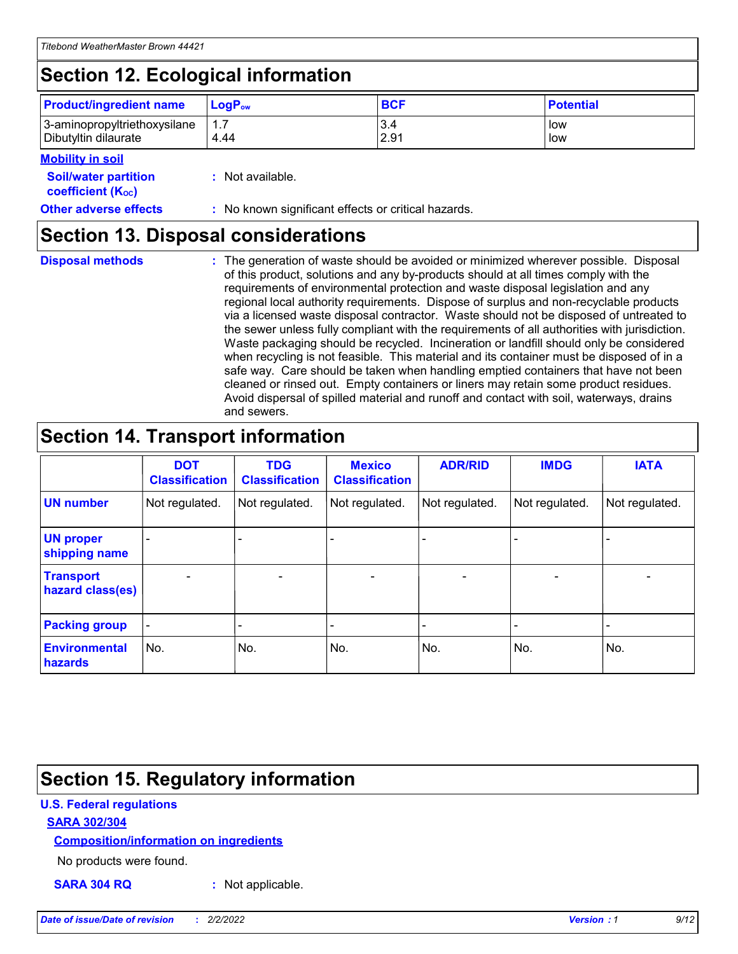## **Section 12. Ecological information**

| <b>Product/ingredient name</b> | $LoaPow$ | <b>BCF</b> | <b>Potential</b> |
|--------------------------------|----------|------------|------------------|
| 3-aminopropyltriethoxysilane   | 1.7      | 3.4        | low              |
| Dibutyltin dilaurate           | 4.44     | 2.91       | low              |

#### **Mobility in soil**

| <b>Soil/water partition</b><br>coefficient (K <sub>oc</sub> ) | : Not available.                                    |
|---------------------------------------------------------------|-----------------------------------------------------|
| <b>Other adverse effects</b>                                  | : No known significant effects or critical hazards. |

### **Section 13. Disposal considerations**

|  | <b>Disposal methods</b> |  |
|--|-------------------------|--|

**Disposal methods** : The generation of waste should be avoided or minimized wherever possible. Disposal of this product, solutions and any by-products should at all times comply with the requirements of environmental protection and waste disposal legislation and any regional local authority requirements. Dispose of surplus and non-recyclable products via a licensed waste disposal contractor. Waste should not be disposed of untreated to the sewer unless fully compliant with the requirements of all authorities with jurisdiction. Waste packaging should be recycled. Incineration or landfill should only be considered when recycling is not feasible. This material and its container must be disposed of in a safe way. Care should be taken when handling emptied containers that have not been cleaned or rinsed out. Empty containers or liners may retain some product residues. Avoid dispersal of spilled material and runoff and contact with soil, waterways, drains and sewers.

### **Section 14. Transport information**

|                                      | <b>DOT</b><br><b>Classification</b> | <b>TDG</b><br><b>Classification</b> | <b>Mexico</b><br><b>Classification</b> | <b>ADR/RID</b>           | <b>IMDG</b>     | <b>IATA</b>              |
|--------------------------------------|-------------------------------------|-------------------------------------|----------------------------------------|--------------------------|-----------------|--------------------------|
| <b>UN number</b>                     | Not regulated.                      | Not regulated.                      | Not regulated.                         | Not regulated.           | Not regulated.  | Not regulated.           |
| <b>UN proper</b><br>shipping name    | $\qquad \qquad$                     |                                     |                                        |                          |                 |                          |
| <b>Transport</b><br>hazard class(es) | $\overline{\phantom{m}}$            | $\qquad \qquad$                     | $\qquad \qquad$                        | $\overline{\phantom{a}}$ | $\qquad \qquad$ | $\overline{\phantom{0}}$ |
| <b>Packing group</b>                 | $\overline{\phantom{a}}$            | -                                   |                                        |                          |                 |                          |
| <b>Environmental</b><br>hazards      | No.                                 | No.                                 | No.                                    | No.                      | No.             | No.                      |

### **Section 15. Regulatory information**

#### **U.S. Federal regulations**

#### **SARA 302/304**

#### **Composition/information on ingredients**

No products were found.

**SARA 304 RQ :** Not applicable.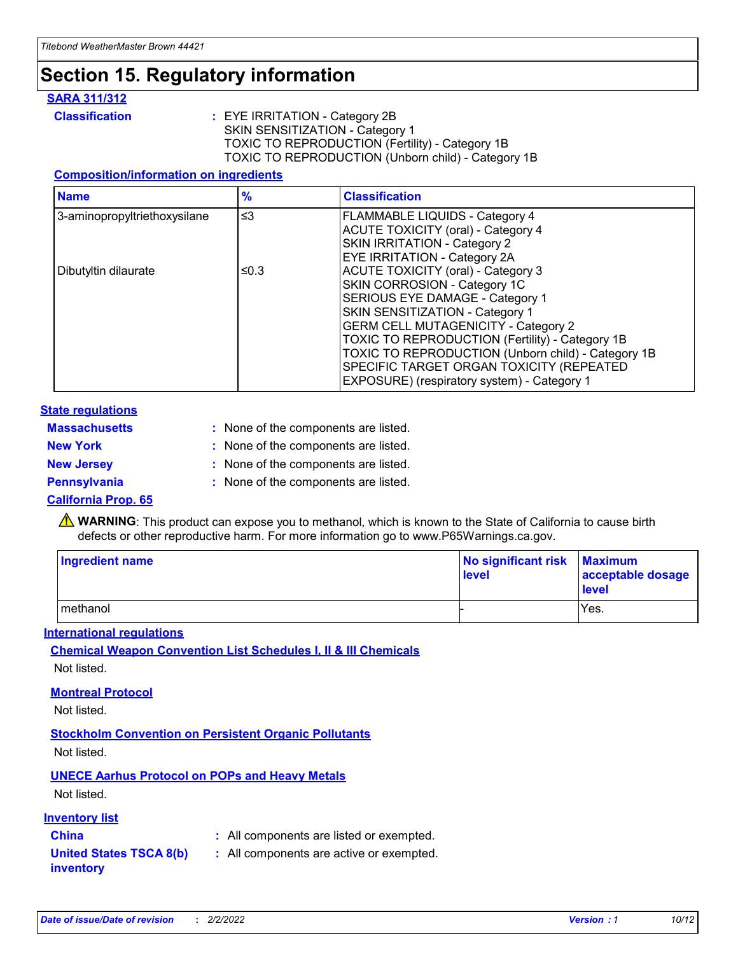## **Section 15. Regulatory information**

#### **SARA 311/312**

**Classification :** EYE IRRITATION - Category 2B SKIN SENSITIZATION - Category 1 TOXIC TO REPRODUCTION (Fertility) - Category 1B TOXIC TO REPRODUCTION (Unborn child) - Category 1B

#### **Composition/information on ingredients**

| <b>Name</b>                  | $\frac{9}{6}$ | <b>Classification</b>                                                                                            |
|------------------------------|---------------|------------------------------------------------------------------------------------------------------------------|
| 3-aminopropyltriethoxysilane | $\leq$ 3      | <b>FLAMMABLE LIQUIDS - Category 4</b><br><b>ACUTE TOXICITY (oral) - Category 4</b>                               |
|                              |               | SKIN IRRITATION - Category 2<br><b>EYE IRRITATION - Category 2A</b>                                              |
| Dibutyltin dilaurate         | ≤0.3          | ACUTE TOXICITY (oral) - Category 3<br>SKIN CORROSION - Category 1C                                               |
|                              |               | SERIOUS EYE DAMAGE - Category 1<br>SKIN SENSITIZATION - Category 1<br><b>GERM CELL MUTAGENICITY - Category 2</b> |
|                              |               | TOXIC TO REPRODUCTION (Fertility) - Category 1B<br>TOXIC TO REPRODUCTION (Unborn child) - Category 1B            |
|                              |               | SPECIFIC TARGET ORGAN TOXICITY (REPEATED<br>EXPOSURE) (respiratory system) - Category 1                          |

#### **State regulations**

| <b>Massachusetts</b> | : None of the components are listed. |
|----------------------|--------------------------------------|
| <b>New York</b>      | : None of the components are listed. |
| <b>New Jersey</b>    | : None of the components are listed. |
| <b>Pennsylvania</b>  | : None of the components are listed. |

#### **California Prop. 65**

**A** WARNING: This product can expose you to methanol, which is known to the State of California to cause birth defects or other reproductive harm. For more information go to www.P65Warnings.ca.gov.

| <b>Ingredient name</b> | No significant risk Maximum<br>level | acceptable dosage<br>level |
|------------------------|--------------------------------------|----------------------------|
| methanol               |                                      | Yes.                       |

#### **International regulations**

**Chemical Weapon Convention List Schedules I, II & III Chemicals** Not listed.

#### **Montreal Protocol**

Not listed.

**Stockholm Convention on Persistent Organic Pollutants**

Not listed.

### **UNECE Aarhus Protocol on POPs and Heavy Metals**

Not listed.

#### **Inventory list**

**China :** All components are listed or exempted.

#### **United States TSCA 8(b) inventory :** All components are active or exempted.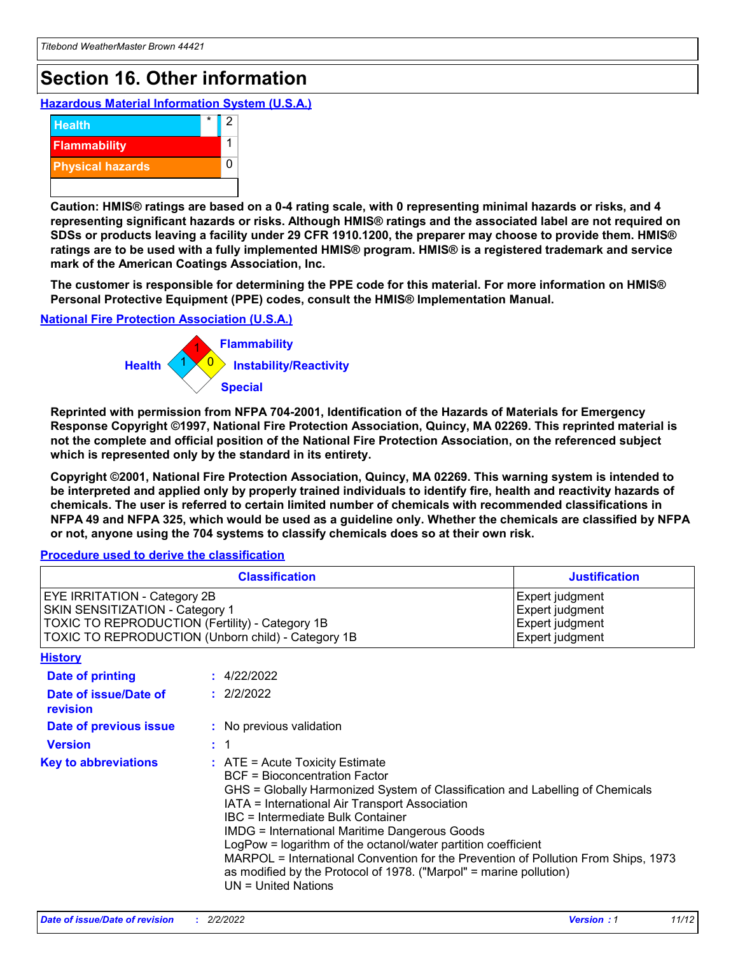## **Section 16. Other information**

**Hazardous Material Information System (U.S.A.)**



**Caution: HMIS® ratings are based on a 0-4 rating scale, with 0 representing minimal hazards or risks, and 4 representing significant hazards or risks. Although HMIS® ratings and the associated label are not required on SDSs or products leaving a facility under 29 CFR 1910.1200, the preparer may choose to provide them. HMIS® ratings are to be used with a fully implemented HMIS® program. HMIS® is a registered trademark and service mark of the American Coatings Association, Inc.**

**The customer is responsible for determining the PPE code for this material. For more information on HMIS® Personal Protective Equipment (PPE) codes, consult the HMIS® Implementation Manual.**

#### **National Fire Protection Association (U.S.A.)**



**Reprinted with permission from NFPA 704-2001, Identification of the Hazards of Materials for Emergency Response Copyright ©1997, National Fire Protection Association, Quincy, MA 02269. This reprinted material is not the complete and official position of the National Fire Protection Association, on the referenced subject which is represented only by the standard in its entirety.**

**Copyright ©2001, National Fire Protection Association, Quincy, MA 02269. This warning system is intended to be interpreted and applied only by properly trained individuals to identify fire, health and reactivity hazards of chemicals. The user is referred to certain limited number of chemicals with recommended classifications in NFPA 49 and NFPA 325, which would be used as a guideline only. Whether the chemicals are classified by NFPA or not, anyone using the 704 systems to classify chemicals does so at their own risk.**

#### **Procedure used to derive the classification**

|                                                                                                                                                                                 |                | <b>Classification</b>                                                                                                                                                                                                                                                                                                                                                                                                                                                                                                                                                    | <b>Justification</b>                                                     |  |
|---------------------------------------------------------------------------------------------------------------------------------------------------------------------------------|----------------|--------------------------------------------------------------------------------------------------------------------------------------------------------------------------------------------------------------------------------------------------------------------------------------------------------------------------------------------------------------------------------------------------------------------------------------------------------------------------------------------------------------------------------------------------------------------------|--------------------------------------------------------------------------|--|
| <b>EYE IRRITATION - Category 2B</b><br>SKIN SENSITIZATION - Category 1<br>TOXIC TO REPRODUCTION (Fertility) - Category 1B<br>TOXIC TO REPRODUCTION (Unborn child) - Category 1B |                |                                                                                                                                                                                                                                                                                                                                                                                                                                                                                                                                                                          | Expert judgment<br>Expert judgment<br>Expert judgment<br>Expert judgment |  |
| <b>History</b>                                                                                                                                                                  |                |                                                                                                                                                                                                                                                                                                                                                                                                                                                                                                                                                                          |                                                                          |  |
| <b>Date of printing</b>                                                                                                                                                         |                | : 4/22/2022                                                                                                                                                                                                                                                                                                                                                                                                                                                                                                                                                              |                                                                          |  |
| Date of issue/Date of<br>revision                                                                                                                                               |                | : 2/2/2022                                                                                                                                                                                                                                                                                                                                                                                                                                                                                                                                                               |                                                                          |  |
| Date of previous issue                                                                                                                                                          |                | : No previous validation                                                                                                                                                                                                                                                                                                                                                                                                                                                                                                                                                 |                                                                          |  |
| <b>Version</b>                                                                                                                                                                  | $\therefore$ 1 |                                                                                                                                                                                                                                                                                                                                                                                                                                                                                                                                                                          |                                                                          |  |
| <b>Key to abbreviations</b>                                                                                                                                                     |                | $\therefore$ ATE = Acute Toxicity Estimate<br><b>BCF</b> = Bioconcentration Factor<br>GHS = Globally Harmonized System of Classification and Labelling of Chemicals<br>IATA = International Air Transport Association<br>IBC = Intermediate Bulk Container<br><b>IMDG = International Maritime Dangerous Goods</b><br>LogPow = logarithm of the octanol/water partition coefficient<br>MARPOL = International Convention for the Prevention of Pollution From Ships, 1973<br>as modified by the Protocol of 1978. ("Marpol" = marine pollution)<br>$UN = United Nations$ |                                                                          |  |